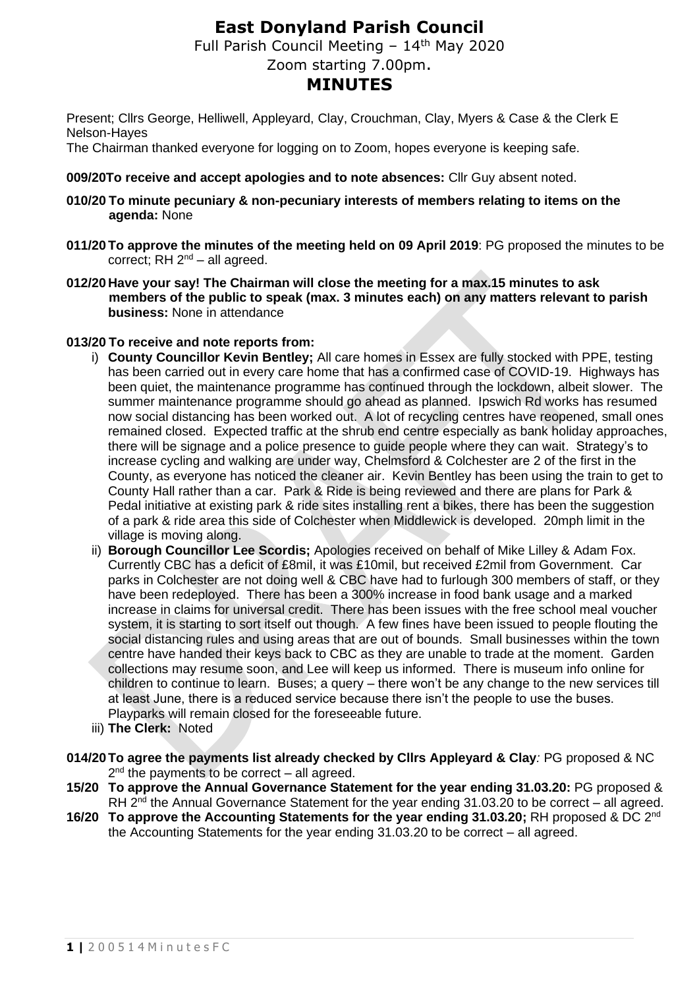# **East Donyland Parish Council**

Full Parish Council Meeting - 14<sup>th</sup> May 2020

Zoom starting 7.00pm.

## **MINUTES**

Present; Cllrs George, Helliwell, Appleyard, Clay, Crouchman, Clay, Myers & Case & the Clerk E Nelson-Hayes

The Chairman thanked everyone for logging on to Zoom, hopes everyone is keeping safe.

#### **009/20To receive and accept apologies and to note absences:** Cllr Guy absent noted.

- **010/20 To minute pecuniary & non-pecuniary interests of members relating to items on the agenda:** None
- **011/20 To approve the minutes of the meeting held on 09 April 2019**: PG proposed the minutes to be correct; RH  $2^{nd}$  – all agreed.
- **012/20 Have your say! The Chairman will close the meeting for a max.15 minutes to ask members of the public to speak (max. 3 minutes each) on any matters relevant to parish business:** None in attendance

#### **013/20 To receive and note reports from:**

- i) **County Councillor Kevin Bentley;** All care homes in Essex are fully stocked with PPE, testing has been carried out in every care home that has a confirmed case of COVID-19. Highways has been quiet, the maintenance programme has continued through the lockdown, albeit slower. The summer maintenance programme should go ahead as planned. Ipswich Rd works has resumed now social distancing has been worked out. A lot of recycling centres have reopened, small ones remained closed. Expected traffic at the shrub end centre especially as bank holiday approaches, there will be signage and a police presence to guide people where they can wait. Strategy's to increase cycling and walking are under way, Chelmsford & Colchester are 2 of the first in the County, as everyone has noticed the cleaner air. Kevin Bentley has been using the train to get to County Hall rather than a car. Park & Ride is being reviewed and there are plans for Park & Pedal initiative at existing park & ride sites installing rent a bikes, there has been the suggestion of a park & ride area this side of Colchester when Middlewick is developed. 20mph limit in the village is moving along.
- ii) **Borough Councillor Lee Scordis;** Apologies received on behalf of Mike Lilley & Adam Fox. Currently CBC has a deficit of £8mil, it was £10mil, but received £2mil from Government. Car parks in Colchester are not doing well & CBC have had to furlough 300 members of staff, or they have been redeployed. There has been a 300% increase in food bank usage and a marked increase in claims for universal credit. There has been issues with the free school meal voucher system, it is starting to sort itself out though. A few fines have been issued to people flouting the social distancing rules and using areas that are out of bounds. Small businesses within the town centre have handed their keys back to CBC as they are unable to trade at the moment. Garden collections may resume soon, and Lee will keep us informed. There is museum info online for children to continue to learn. Buses; a query – there won't be any change to the new services till at least June, there is a reduced service because there isn't the people to use the buses. Playparks will remain closed for the foreseeable future.
- iii) **The Clerk:** Noted
- **014/20To agree the payments list already checked by Cllrs Appleyard & Clay***:* PG proposed & NC 2<sup>nd</sup> the payments to be correct – all agreed.
- **15/20 To approve the Annual Governance Statement for the year ending 31.03.20:** PG proposed & RH  $2<sup>nd</sup>$  the Annual Governance Statement for the year ending 31.03.20 to be correct – all agreed.
- **16/20 To approve the Accounting Statements for the year ending 31.03.20;** RH proposed & DC 2nd the Accounting Statements for the year ending 31.03.20 to be correct – all agreed.